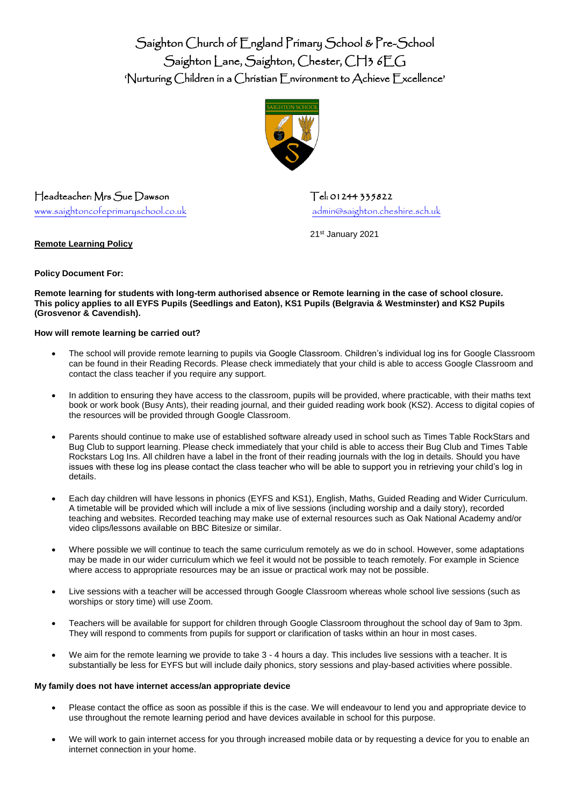Saighton Church of England Primary School & Pre-School Saighton Lane, Saighton, Chester, CH3 6EG 'Nurturing Children in a Christian Environment to Achieve Excellence'



Headteacher: Mrs. Sue Dawson Tel: 01244 335822

[www.saightoncofeprimaryschool.co.uk](http://www.saightoncofeprimaryschool.co.uk/) [admin@saighton.cheshire.sch.uk](mailto:admin@saighton.cheshire.sch.uk)

21st January 2021

**Policy Document For:** 

**Remote Learning Policy** 

**Remote learning for students with long-term authorised absence or Remote learning in the case of school closure. This policy applies to all EYFS Pupils (Seedlings and Eaton), KS1 Pupils (Belgravia & Westminster) and KS2 Pupils (Grosvenor & Cavendish).**

# **How will remote learning be carried out?**

- The school will provide remote learning to pupils via Google Classroom. Children's individual log ins for Google Classroom can be found in their Reading Records. Please check immediately that your child is able to access Google Classroom and contact the class teacher if you require any support.
- In addition to ensuring they have access to the classroom, pupils will be provided, where practicable, with their maths text book or work book (Busy Ants), their reading journal, and their guided reading work book (KS2). Access to digital copies of the resources will be provided through Google Classroom.
- Parents should continue to make use of established software already used in school such as Times Table RockStars and Bug Club to support learning. Please check immediately that your child is able to access their Bug Club and Times Table Rockstars Log Ins. All children have a label in the front of their reading journals with the log in details. Should you have issues with these log ins please contact the class teacher who will be able to support you in retrieving your child's log in details.
- Each day children will have lessons in phonics (EYFS and KS1), English, Maths, Guided Reading and Wider Curriculum. A timetable will be provided which will include a mix of live sessions (including worship and a daily story), recorded teaching and websites. Recorded teaching may make use of external resources such as Oak National Academy and/or video clips/lessons available on BBC Bitesize or similar.
- Where possible we will continue to teach the same curriculum remotely as we do in school. However, some adaptations may be made in our wider curriculum which we feel it would not be possible to teach remotely. For example in Science where access to appropriate resources may be an issue or practical work may not be possible.
- Live sessions with a teacher will be accessed through Google Classroom whereas whole school live sessions (such as worships or story time) will use Zoom.
- Teachers will be available for support for children through Google Classroom throughout the school day of 9am to 3pm. They will respond to comments from pupils for support or clarification of tasks within an hour in most cases.
- We aim for the remote learning we provide to take 3 4 hours a day. This includes live sessions with a teacher. It is substantially be less for EYFS but will include daily phonics, story sessions and play-based activities where possible.

# **My family does not have internet access/an appropriate device**

- Please contact the office as soon as possible if this is the case. We will endeavour to lend you and appropriate device to use throughout the remote learning period and have devices available in school for this purpose.
- We will work to gain internet access for you through increased mobile data or by requesting a device for you to enable an internet connection in your home.